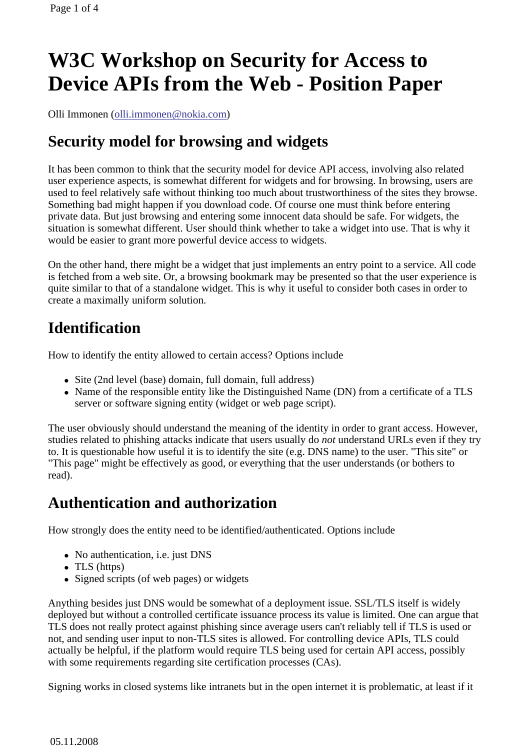# **W3C Workshop on Security for Access to Device APIs from the Web - Position Paper**

Olli Immonen (olli.immonen@nokia.com)

## **Security model for browsing and widgets**

It has been common to think that the security model for device API access, involving also related user experience aspects, is somewhat different for widgets and for browsing. In browsing, users are used to feel relatively safe without thinking too much about trustworthiness of the sites they browse. Something bad might happen if you download code. Of course one must think before entering private data. But just browsing and entering some innocent data should be safe. For widgets, the situation is somewhat different. User should think whether to take a widget into use. That is why it would be easier to grant more powerful device access to widgets.

On the other hand, there might be a widget that just implements an entry point to a service. All code is fetched from a web site. Or, a browsing bookmark may be presented so that the user experience is quite similar to that of a standalone widget. This is why it useful to consider both cases in order to create a maximally uniform solution.

## **Identification**

How to identify the entity allowed to certain access? Options include

- Site (2nd level (base) domain, full domain, full address)
- Name of the responsible entity like the Distinguished Name (DN) from a certificate of a TLS server or software signing entity (widget or web page script).

The user obviously should understand the meaning of the identity in order to grant access. However, studies related to phishing attacks indicate that users usually do *not* understand URLs even if they try to. It is questionable how useful it is to identify the site (e.g. DNS name) to the user. "This site" or "This page" might be effectively as good, or everything that the user understands (or bothers to read).

#### **Authentication and authorization**

How strongly does the entity need to be identified/authenticated. Options include

- No authentication, *i.e.* just DNS
- TLS (https)
- Signed scripts (of web pages) or widgets

Anything besides just DNS would be somewhat of a deployment issue. SSL/TLS itself is widely deployed but without a controlled certificate issuance process its value is limited. One can argue that TLS does not really protect against phishing since average users can't reliably tell if TLS is used or not, and sending user input to non-TLS sites is allowed. For controlling device APIs, TLS could actually be helpful, if the platform would require TLS being used for certain API access, possibly with some requirements regarding site certification processes (CAs).

Signing works in closed systems like intranets but in the open internet it is problematic, at least if it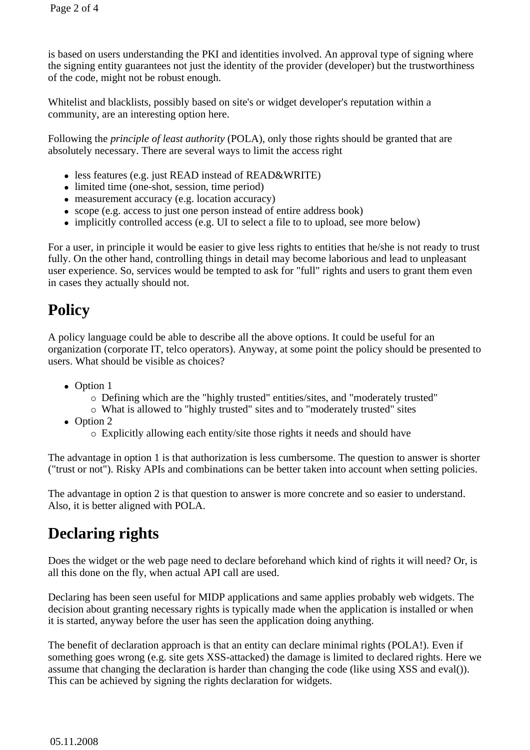is based on users understanding the PKI and identities involved. An approval type of signing where the signing entity guarantees not just the identity of the provider (developer) but the trustworthiness of the code, might not be robust enough.

Whitelist and blacklists, possibly based on site's or widget developer's reputation within a community, are an interesting option here.

Following the *principle of least authority* (POLA), only those rights should be granted that are absolutely necessary. There are several ways to limit the access right

- less features (e.g. just READ instead of READ&WRITE)
- limited time (one-shot, session, time period)
- measurement accuracy (e.g. location accuracy)
- scope (e.g. access to just one person instead of entire address book)
- implicitly controlled access (e.g. UI to select a file to to upload, see more below)

For a user, in principle it would be easier to give less rights to entities that he/she is not ready to trust fully. On the other hand, controlling things in detail may become laborious and lead to unpleasant user experience. So, services would be tempted to ask for "full" rights and users to grant them even in cases they actually should not.

# **Policy**

A policy language could be able to describe all the above options. It could be useful for an organization (corporate IT, telco operators). Anyway, at some point the policy should be presented to users. What should be visible as choices?

- Option 1
	- Defining which are the "highly trusted" entities/sites, and "moderately trusted"
	- What is allowed to "highly trusted" sites and to "moderately trusted" sites
- Option 2
	- Explicitly allowing each entity/site those rights it needs and should have

The advantage in option 1 is that authorization is less cumbersome. The question to answer is shorter ("trust or not"). Risky APIs and combinations can be better taken into account when setting policies.

The advantage in option 2 is that question to answer is more concrete and so easier to understand. Also, it is better aligned with POLA.

## **Declaring rights**

Does the widget or the web page need to declare beforehand which kind of rights it will need? Or, is all this done on the fly, when actual API call are used.

Declaring has been seen useful for MIDP applications and same applies probably web widgets. The decision about granting necessary rights is typically made when the application is installed or when it is started, anyway before the user has seen the application doing anything.

The benefit of declaration approach is that an entity can declare minimal rights (POLA!). Even if something goes wrong (e.g. site gets XSS-attacked) the damage is limited to declared rights. Here we assume that changing the declaration is harder than changing the code (like using XSS and eval()). This can be achieved by signing the rights declaration for widgets.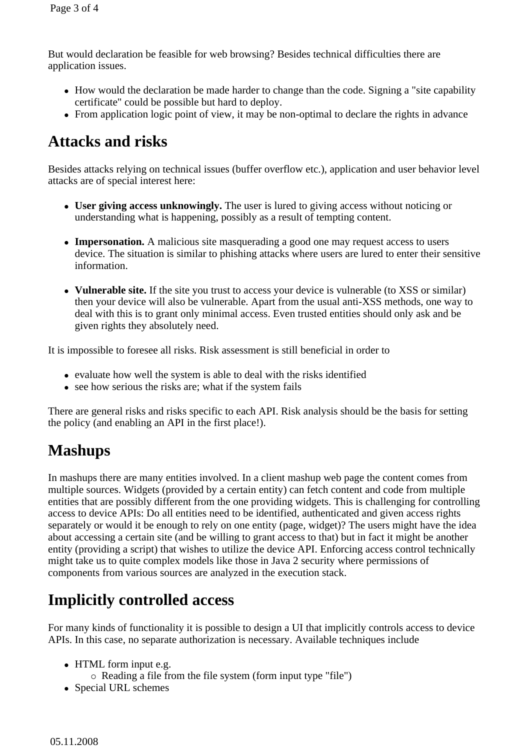But would declaration be feasible for web browsing? Besides technical difficulties there are application issues.

- How would the declaration be made harder to change than the code. Signing a "site capability certificate" could be possible but hard to deploy.
- From application logic point of view, it may be non-optimal to declare the rights in advance

### **Attacks and risks**

Besides attacks relying on technical issues (buffer overflow etc.), application and user behavior level attacks are of special interest here:

- **User giving access unknowingly.** The user is lured to giving access without noticing or understanding what is happening, possibly as a result of tempting content.
- **Impersonation.** A malicious site masquerading a good one may request access to users device. The situation is similar to phishing attacks where users are lured to enter their sensitive information.
- **Vulnerable site.** If the site you trust to access your device is vulnerable (to XSS or similar) then your device will also be vulnerable. Apart from the usual anti-XSS methods, one way to deal with this is to grant only minimal access. Even trusted entities should only ask and be given rights they absolutely need.

It is impossible to foresee all risks. Risk assessment is still beneficial in order to

- evaluate how well the system is able to deal with the risks identified
- see how serious the risks are; what if the system fails

There are general risks and risks specific to each API. Risk analysis should be the basis for setting the policy (and enabling an API in the first place!).

# **Mashups**

In mashups there are many entities involved. In a client mashup web page the content comes from multiple sources. Widgets (provided by a certain entity) can fetch content and code from multiple entities that are possibly different from the one providing widgets. This is challenging for controlling access to device APIs: Do all entities need to be identified, authenticated and given access rights separately or would it be enough to rely on one entity (page, widget)? The users might have the idea about accessing a certain site (and be willing to grant access to that) but in fact it might be another entity (providing a script) that wishes to utilize the device API. Enforcing access control technically might take us to quite complex models like those in Java 2 security where permissions of components from various sources are analyzed in the execution stack.

#### **Implicitly controlled access**

For many kinds of functionality it is possible to design a UI that implicitly controls access to device APIs. In this case, no separate authorization is necessary. Available techniques include

- HTML form input e.g.
	- Reading a file from the file system (form input type "file")
- Special URL schemes